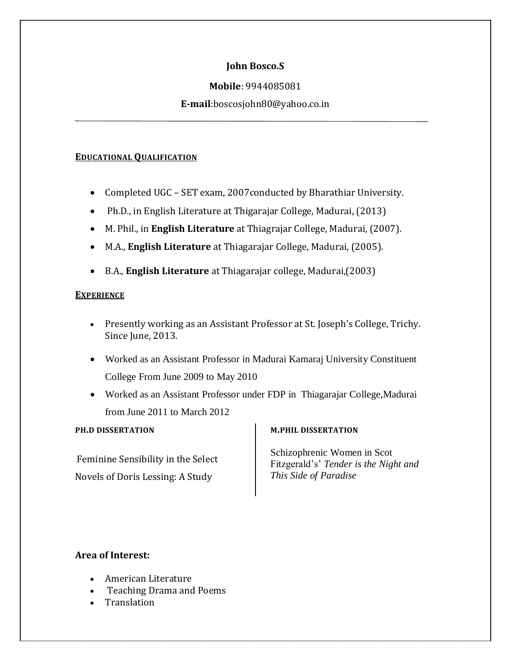# **John Bosco.S**

## **Mobile**: 9944085081

## **E-mail**:boscosjohn80@yahoo.co.in

### **EDUCATIONAL QUALIFICATION**

- Completed UGC SET exam, 2007conducted by Bharathiar University.
- Ph.D., in English Literature at Thigarajar College, Madurai, (2013)
- M. Phil., in **English Literature** at Thiagrajar College, Madurai, (2007).
- M.A., **English Literature** at Thiagarajar College, Madurai, (2005).
- B.A., **English Literature** at Thiagarajar college, Madurai,(2003)

### **EXPERIENCE**

- Presently working as an Assistant Professor at St. Joseph's College, Trichy. Since June, 2013.
- Worked as an Assistant Professor in Madurai Kamaraj University Constituent College From June 2009 to May 2010
- Worked as an Assistant Professor under FDP in Thiagarajar College,Madurai from June 2011 to March 2012

#### **PH.D DISSERTATION**

Feminine Sensibility in the Select Novels of Doris Lessing: A Study

#### **M.PHIL DISSERTATION**

Schizophrenic Women in Scot Fitzgerald's' *Tender is the Night and This Side of Paradise*

## **Area of Interest:**

- American Literature
- Teaching Drama and Poems
- Translation